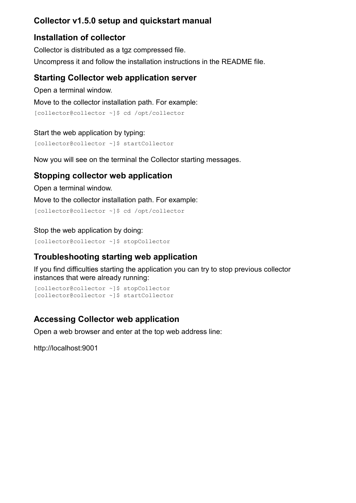## **Collector v1.5.0 setup and quickstart manual**

## **Installation of collector**

Collector is distributed as a tgz compressed file. Uncompress it and follow the installation instructions in the README file.

### **Starting Collector web application server**

Open a terminal window.

Move to the collector installation path. For example:

```
[collector@collector ~]$ cd /opt/collector
```

```
Start the web application by typing:
[collector@collector ~]$ startCollector
```
Now you will see on the terminal the Collector starting messages.

## **Stopping collector web application**

Open a terminal window.

Move to the collector installation path. For example:

[\[collector@collector](mailto:collector@collector) ~]\$ cd /opt/collector

### Stop the web application by doing:

[\[collector@collector](mailto:collector@collector) ~]\$ stopCollector

## **Troubleshooting starting web application**

If you find difficulties starting the application you can try to stop previous collector instances that were already running:

```
[collector@collector ~]$ stopCollector
[collector@collector ~]$ startCollector
```
# **Accessing Collector web application**

Open a web browser and enter at the top web address line:

[http://localhost:9001](http://localhost:9000/)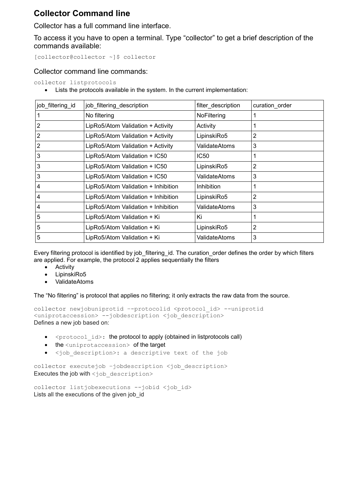## **Collector Command line**

Collector has a full command line interface.

To access it you have to open a terminal. Type "collector" to get a brief description of the commands available:

[\[collector@collector](mailto:collector@collector) ~]\$ collector

#### Collector command line commands:

collector listprotocols

Lists the protocols available in the system. In the current implementation:

| job filtering id | job filtering description           | filter description | curation order |
|------------------|-------------------------------------|--------------------|----------------|
|                  | No filtering                        | NoFiltering        |                |
|                  | LipRo5/Atom Validation + Activity   | Activity           |                |
| 2                | LipRo5/Atom Validation + Activity   | LipinskiRo5        | 2              |
| 2                | LipRo5/Atom Validation + Activity   | ValidateAtoms      | 3              |
| 3                | LipRo5/Atom Validation + IC50       | IC50               |                |
| 3                | LipRo5/Atom Validation + IC50       | LipinskiRo5        | 2              |
| 3                | LipRo5/Atom Validation + IC50       | ValidateAtoms      | 3              |
| 4                | LipRo5/Atom Validation + Inhibition | <b>Inhibition</b>  |                |
| 4                | LipRo5/Atom Validation + Inhibition | LipinskiRo5        | 2              |
| 4                | LipRo5/Atom Validation + Inhibition | ValidateAtoms      | 3              |
| 5                | LipRo5/Atom Validation + Ki         | Κi                 |                |
| 5                | LipRo5/Atom Validation + Ki         | LipinskiRo5        | 2              |
| 5                | LipRo5/Atom Validation + Ki         | ValidateAtoms      | 3              |

Every filtering protocol is identified by job filtering id. The curation order defines the order by which filters are applied. For example, the protocol 2 applies sequentially the filters

- Activity
- LipinskiRo5
- ValidateAtoms

The "No filtering" is protocol that applies no filtering; it only extracts the raw data from the source.

collector newjobuniprotid –-protocolid <protocol\_id> --uniprotid <uniprotaccession> --jobdescription <job\_description> Defines a new job based on:

- $\bullet$   $\leq$   $\text{protocol}$   $id$   $>$ : the protocol to apply (obtained in listprotocols call)
- $\bullet$  the  $\langle$ uniprotaccession> of the target
- <job\_description>: a descriptive text of the job

collector executejob -jobdescription <job description> Executes the job with <job description>

```
collector listjobexecutions --jobid <job id>
Lists all the executions of the given job_id
```